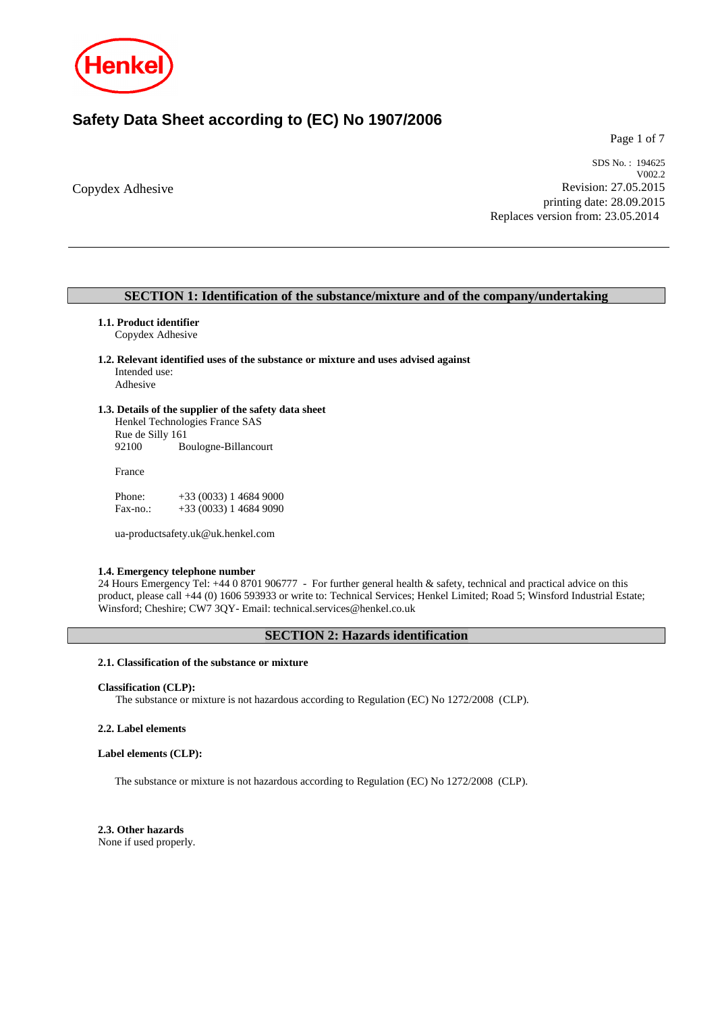

# **Safety Data Sheet according to (EC) No 1907/2006**

Page 1 of 7

Copydex Adhesive

SDS No. : 194625 V002.2 Revision: 27.05.2015 printing date: 28.09.2015 Replaces version from: 23.05.2014

# **SECTION 1: Identification of the substance/mixture and of the company/undertaking**

## **1.1. Product identifier**

Copydex Adhesive

**1.2. Relevant identified uses of the substance or mixture and uses advised against** Intended use: Adhesive

# **1.3. Details of the supplier of the safety data sheet**

Henkel Technologies France SAS Rue de Silly 161 92100 Boulogne-Billancourt

France

| Phone:   | $+33(0033)146849000$ |
|----------|----------------------|
| Fax-no.: | $+33(0033)146849090$ |

ua-productsafety.uk@uk.henkel.com

## **1.4. Emergency telephone number**

24 Hours Emergency Tel: +44 0 8701 906777 - For further general health & safety, technical and practical advice on this product, please call +44 (0) 1606 593933 or write to: Technical Services; Henkel Limited; Road 5; Winsford Industrial Estate; Winsford; Cheshire; CW7 3QY- Email: technical.services@henkel.co.uk

# **SECTION 2: Hazards identification**

## **2.1. Classification of the substance or mixture**

#### **Classification (CLP):**

The substance or mixture is not hazardous according to Regulation (EC) No 1272/2008 (CLP).

## **2.2. Label elements**

### **Label elements (CLP):**

The substance or mixture is not hazardous according to Regulation (EC) No 1272/2008 (CLP).

**2.3. Other hazards** None if used properly.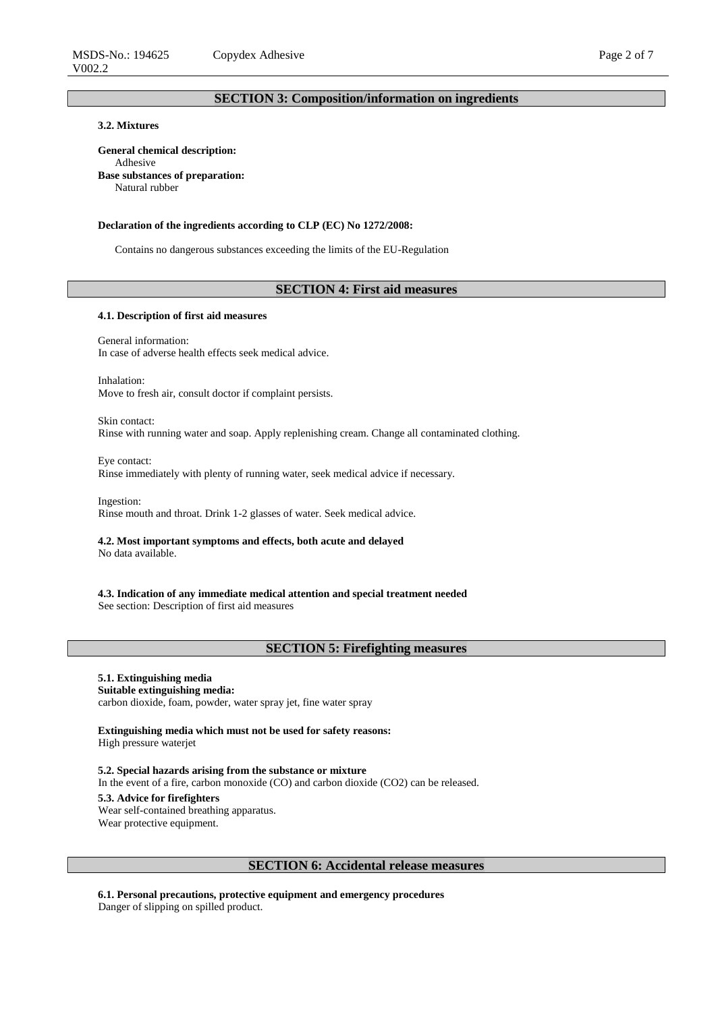# **SECTION 3: Composition/information on ingredients**

# **3.2. Mixtures**

**General chemical description:** Adhesive **Base substances of preparation:** Natural rubber

#### **Declaration of the ingredients according to CLP (EC) No 1272/2008:**

Contains no dangerous substances exceeding the limits of the EU-Regulation

## **SECTION 4: First aid measures**

#### **4.1. Description of first aid measures**

General information: In case of adverse health effects seek medical advice.

Inhalation: Move to fresh air, consult doctor if complaint persists.

Skin contact: Rinse with running water and soap. Apply replenishing cream. Change all contaminated clothing.

Eye contact: Rinse immediately with plenty of running water, seek medical advice if necessary.

Ingestion: Rinse mouth and throat. Drink 1-2 glasses of water. Seek medical advice.

# **4.2. Most important symptoms and effects, both acute and delayed**

No data available.

**4.3. Indication of any immediate medical attention and special treatment needed** See section: Description of first aid measures

# **SECTION 5: Firefighting measures**

# **5.1. Extinguishing media**

## **Suitable extinguishing media:**

carbon dioxide, foam, powder, water spray jet, fine water spray

**Extinguishing media which must not be used for safety reasons:** High pressure waterjet

**5.2. Special hazards arising from the substance or mixture** In the event of a fire, carbon monoxide (CO) and carbon dioxide (CO2) can be released. **5.3. Advice for firefighters**

Wear self-contained breathing apparatus. Wear protective equipment.

## **SECTION 6: Accidental release measures**

**6.1. Personal precautions, protective equipment and emergency procedures** Danger of slipping on spilled product.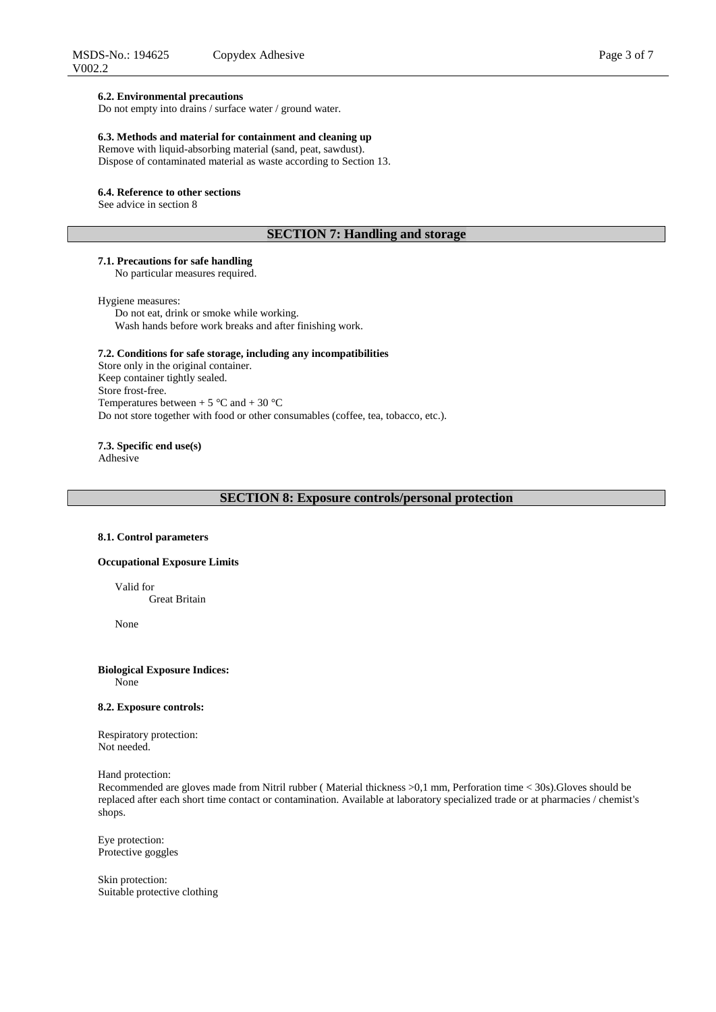#### **6.2. Environmental precautions**

Do not empty into drains / surface water / ground water.

## **6.3. Methods and material for containment and cleaning up**

Remove with liquid-absorbing material (sand, peat, sawdust). Dispose of contaminated material as waste according to Section 13.

#### **6.4. Reference to other sections**

See advice in section 8

## **SECTION 7: Handling and storage**

# **7.1. Precautions for safe handling**

No particular measures required.

#### Hygiene measures:

Do not eat, drink or smoke while working. Wash hands before work breaks and after finishing work.

## **7.2. Conditions for safe storage, including any incompatibilities**

Store only in the original container. Keep container tightly sealed. Store frost-free. Temperatures between  $+ 5$  °C and  $+ 30$  °C Do not store together with food or other consumables (coffee, tea, tobacco, etc.).

**7.3. Specific end use(s)**

Adhesive

## **SECTION 8: Exposure controls/personal protection**

#### **8.1. Control parameters**

## **Occupational Exposure Limits**

Valid for Great Britain

None

# **Biological Exposure Indices:**

None

#### **8.2. Exposure controls:**

Respiratory protection: Not needed.

Hand protection:

Recommended are gloves made from Nitril rubber ( Material thickness >0,1 mm, Perforation time < 30s).Gloves should be replaced after each short time contact or contamination. Available at laboratory specialized trade or at pharmacies / chemist's shops.

Eye protection: Protective goggles

Skin protection: Suitable protective clothing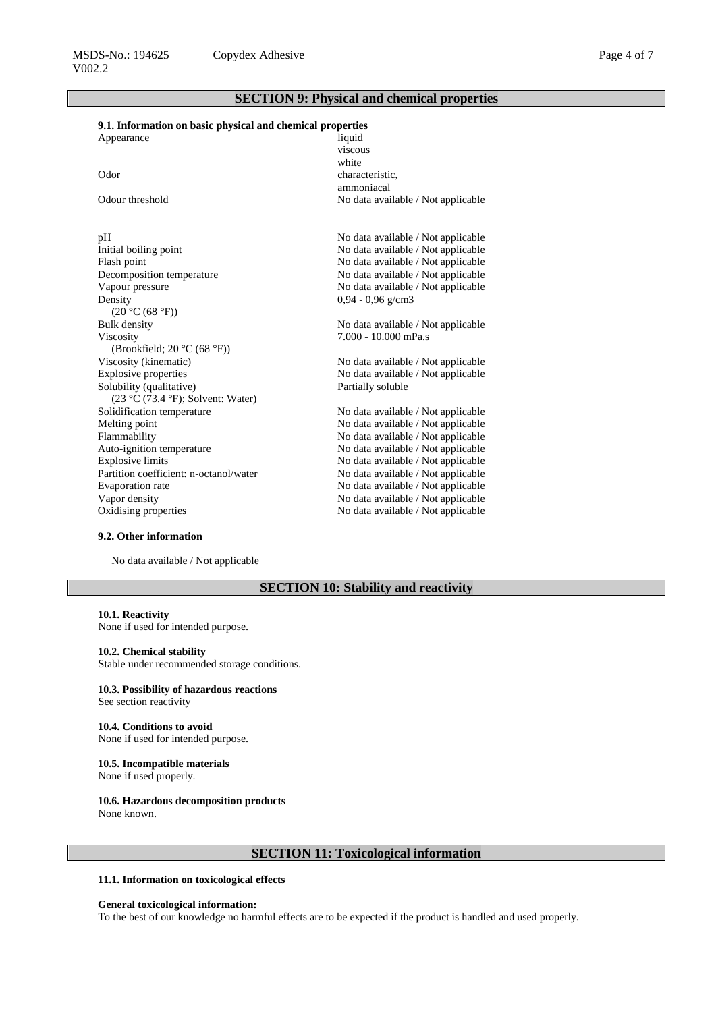# **SECTION 9: Physical and chemical properties**

# **9.1. Information on basic physical and chemical properties**

| Appearance                             | liquid                             |
|----------------------------------------|------------------------------------|
|                                        | viscous                            |
|                                        | white                              |
| Odor                                   | characteristic,                    |
|                                        | ammoniacal                         |
| Odour threshold                        | No data available / Not applicable |
|                                        |                                    |
| pH                                     | No data available / Not applicable |
| Initial boiling point                  | No data available / Not applicable |
| Flash point                            | No data available / Not applicable |
| Decomposition temperature              | No data available / Not applicable |
| Vapour pressure                        | No data available / Not applicable |
| Density                                | $0,94 - 0,96$ g/cm3                |
| (20 °C (68 °F))                        |                                    |
| <b>Bulk</b> density                    | No data available / Not applicable |
| Viscosity                              | $7.000 - 10.000$ mPa.s             |
| (Brookfield; 20 $°C$ (68 $°F$ ))       |                                    |
| Viscosity (kinematic)                  | No data available / Not applicable |
| <b>Explosive properties</b>            | No data available / Not applicable |
| Solubility (qualitative)               | Partially soluble                  |
| $(23 °C (73.4 °F))$ ; Solvent: Water)  |                                    |
| Solidification temperature             | No data available / Not applicable |
| Melting point                          | No data available / Not applicable |
| Flammability                           | No data available / Not applicable |
| Auto-ignition temperature              | No data available / Not applicable |
| <b>Explosive limits</b>                | No data available / Not applicable |
| Partition coefficient: n-octanol/water | No data available / Not applicable |
| <b>Evaporation</b> rate                | No data available / Not applicable |
| Vapor density                          | No data available / Not applicable |
| Oxidising properties                   | No data available / Not applicable |
|                                        |                                    |

#### **9.2. Other information**

No data available / Not applicable

# **SECTION 10: Stability and reactivity**

## **10.1. Reactivity**

None if used for intended purpose.

# **10.2. Chemical stability**

Stable under recommended storage conditions.

# **10.3. Possibility of hazardous reactions**

See section reactivity

#### **10.4. Conditions to avoid** None if used for intended purpose.

#### **10.5. Incompatible materials** None if used properly.

### **10.6. Hazardous decomposition products**

None known.

# **SECTION 11: Toxicological information**

## **11.1. Information on toxicological effects**

#### **General toxicological information:**

To the best of our knowledge no harmful effects are to be expected if the product is handled and used properly.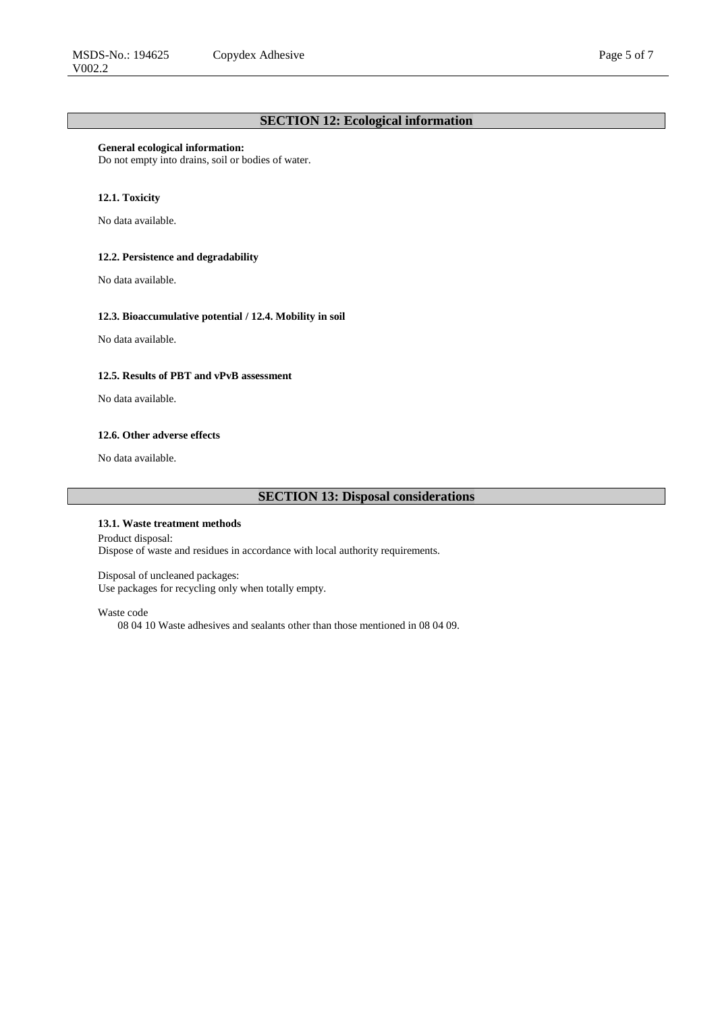#### **General ecological information:**

Do not empty into drains, soil or bodies of water.

## **12.1. Toxicity**

No data available.

# **12.2. Persistence and degradability**

No data available.

#### **12.3. Bioaccumulative potential / 12.4. Mobility in soil**

No data available.

# **12.5. Results of PBT and vPvB assessment**

No data available.

#### **12.6. Other adverse effects**

No data available.

# **SECTION 13: Disposal considerations**

## **13.1. Waste treatment methods**

Product disposal: Dispose of waste and residues in accordance with local authority requirements.

Disposal of uncleaned packages: Use packages for recycling only when totally empty.

### Waste code

08 04 10 Waste adhesives and sealants other than those mentioned in 08 04 09.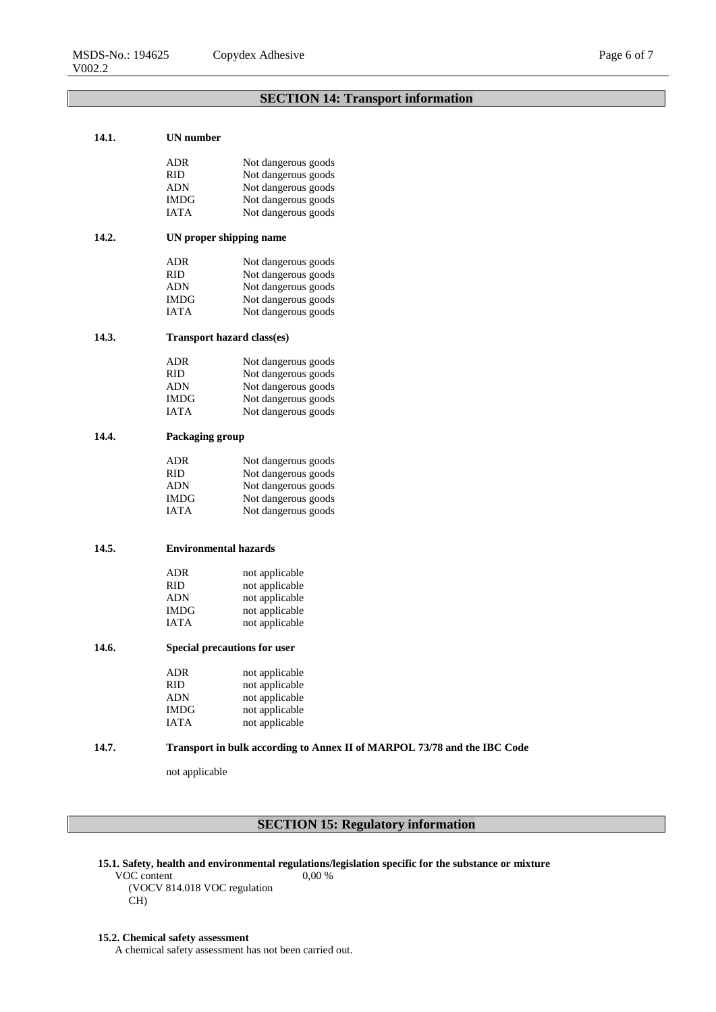# **SECTION 14: Transport information**

## **14.1. UN number**

|       | ADR                                 | Not dangerous goods |  |
|-------|-------------------------------------|---------------------|--|
|       | RID                                 | Not dangerous goods |  |
|       | ADN                                 | Not dangerous goods |  |
|       | <b>IMDG</b>                         | Not dangerous goods |  |
|       | <b>IATA</b>                         | Not dangerous goods |  |
| 14.2. | UN proper shipping name             |                     |  |
|       | ADR                                 | Not dangerous goods |  |
|       | <b>RID</b>                          | Not dangerous goods |  |
|       | ADN                                 | Not dangerous goods |  |
|       | IMDG                                | Not dangerous goods |  |
|       | <b>IATA</b>                         | Not dangerous goods |  |
| 14.3. | Transport hazard class(es)          |                     |  |
|       | <b>ADR</b>                          | Not dangerous goods |  |
|       | <b>RID</b>                          | Not dangerous goods |  |
|       | <b>ADN</b>                          | Not dangerous goods |  |
|       | <b>IMDG</b>                         | Not dangerous goods |  |
|       | <b>IATA</b>                         | Not dangerous goods |  |
| 14.4. | Packaging group                     |                     |  |
|       | ADR                                 | Not dangerous goods |  |
|       | <b>RID</b>                          | Not dangerous goods |  |
|       | <b>ADN</b>                          | Not dangerous goods |  |
|       | <b>IMDG</b>                         | Not dangerous goods |  |
|       | <b>IATA</b>                         | Not dangerous goods |  |
|       |                                     |                     |  |
| 14.5. | <b>Environmental hazards</b>        |                     |  |
|       | <b>ADR</b>                          | not applicable      |  |
|       | RID                                 | not applicable      |  |
|       | ADN                                 | not applicable      |  |
|       | <b>IMDG</b>                         | not applicable      |  |
|       | IATA                                | not applicable      |  |
| 14.6. | <b>Special precautions for user</b> |                     |  |
|       | ADR                                 | not applicable      |  |
|       | <b>RID</b>                          | not applicable      |  |
|       | <b>ADN</b>                          | not applicable      |  |
|       | <b>IMDG</b>                         | not applicable      |  |
|       |                                     |                     |  |
|       | <b>IATA</b>                         | not applicable      |  |

# **14.7. Transport in bulk according to Annex II of MARPOL 73/78 and the IBC Code**

not applicable

# **SECTION 15: Regulatory information**

**15.1. Safety, health and environmental regulations/legislation specific for the substance or mixture**

VOC content (VOCV 814.018 VOC regulation CH) 0,00 %

#### **15.2. Chemical safety assessment**

A chemical safety assessment has not been carried out.